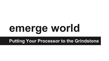# **emerge world**

### **Putting Your Processor to the Grindstone**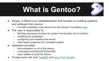# **What is Gentoo?**

- Simply: a GNU/Linux metadistribution that focuses on building systems and software from source.
	- Full x86 installation instructions from the Gentoo Foundation [here](https://wiki.gentoo.org/wiki/Handbook:X86/Full/Installation).
- The user is responsible for:
	- fetching necessary binaries for system functionality (all of /usr/bin);
	- installing the bootloader;
	- configuring and installing the kernel;
	- other basic programs for a bootable system.
- Upstream provides:
	- documentation on all of the above;
	- a bootable liveCD/liveDVD/liveUSB;
	- basic utilities to build the above.
- Portage works with both [FreeBSD](https://wiki.gentoo.org/wiki/Gentoo_FreeBSD) and [Linux From Scratch.](http://forums.gentoo.org/viewtopic.php?t=125553)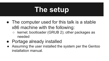# **The setup**

- The computer used for this talk is a stable x86 machine with the following:
	- kernel; bootloader (GRUB 2); other packages as needed
- Portage already installed
- Assuming the user installed the system per the Gentoo installation manual.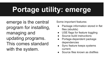# **Portage utility: emerge**

emerge is the central program for installing, managing and updating programs. This comes standard with the system.

Some important features:

- Package information stored in flat files (ebuilds)
- USE flags for feature toggling
- Source build instructions
- Portage-dependent package dependencies
- Sync feature keeps systems current.
- Source files known as distfiles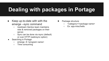### **Dealing with packages in Portage**

- Keep up-to-date with with the emerge --sync command
	- Upstream Gentoo team maintains new & removed packages on their server.
	- Sync can be done via rsync (default) or over HTTP (webrsync option)
- Searching in Portage
	- o emerge -S <program name>
	- Time consuming
- Package structure
	- <category>/<package name>
	- Ex: app-misc/hello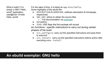What is hello? It is simply a GNU "Hello, world" application. user@host:~\$ hello Hello, world!

For the sake of time, it is listed as app-misc/hello. Some highlights of the ebuild file:

- DESCRIPTION & HOMEPAGE: software description & homepage, respectively
- SRC URI: where to obtain the source files
	- Full documentation via [upstream.](http://devmanual.gentoo.org/quickstart/)
- KEYWORDS:
- IUSE: USE flags that the package will accept. src functions - specific instructions to carry out during certain phases of the build
	- src\_configure: carry out the specified instructions and pass them to autoconf
	- src install: carry out the specified instructions before and/or after executing make install

#### **An ebuild exemplar: GNU hello**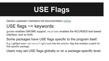# **USE Flags**

Gentoo upstream maintains full documentation [online](https://wiki.gentoo.org/wiki/Handbook:X86/Working/USE).

### USE flags ~= keywords:

gnome enables GNOME support, ncurses enables the NCURSES text-based interface, and so forth.

Some packages have USE flags specific to the program itself.

E.g. Lighttpd (www-servers/lighttpd) has the webdav flag that enables a patch for that specific package.

Users may set USE flags globally or on a package-specific level.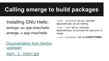### **Calling emerge to build packages**

### Installing GNU Hello: emerge -pv app-misc/hello emerge -v app-misc/hello

-p or --pretend: set up, calculate dependencies, but do nothing

-a or --ask: set up, calculate dependencies, but prompt the user prior to merge

-v or --verbose: Tell me **EVERYTHING**.

#### [Documentation from Gentoo](https://wiki.gentoo.org/wiki/Handbook:X86/Working/Portage#Installing_software) [upstream](https://wiki.gentoo.org/wiki/Handbook:X86/Working/Portage#Installing_software)

#### [man 1 emerge](http://dev.gentoo.org/~zmedico/portage/doc/man/emerge.1.html)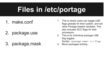### **Files in /etc/portage**

### 1. make.conf

- 2. package.use
- 3. package.mask
- 1. This is where users can toggle USE flags globally for their system, and set other Portage-related variables. This also includes GCC flags for their processors.
- 2. This is for individual package USE flag toggles. Syntax: <package name> <+/-flag>
- 3. Block packages entirely.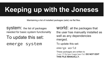# **Keeping up with the Joneses**

Maintaining a list of installed packages (sets) via flat files.

System: the list of packages needed for basic system functionality

To update this set:

emerge system

world: all the packages that the user has manually installed as well as any dependencies merged.

To update this set:

emerge world

These packages are written to /var/lib/portage/world. **DO NOT EDIT THIS FILE MANUALLY.**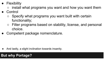- Flexibility
	- $\circ$  install what programs you want and how you want them
- **Control** 
	- $\circ$  Specify what programs you want built with certain functionality;
	- Filter programs based on stability, license, and personal choice.
- Competent package nomenclature.

And lastly, a slight inclination towards insanity.

#### **But why Portage?**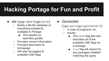### **Hacking Portage for Fun and Profit**

- eix (app-portage/eix)
	- Builds a flat file database of everything installed & available in Portage
		- This speeds up searches greatly
	- Provides version information
	- Provides description & homepage
	- Will also list toggled & available USE flags
- **Gentoolkit** 
	- (app-portage/gentoolkit)
		- A suite of programs, inc:
		- equery
			- The uses flag lists and describes all of the available USE flags for a package.
			- list flag will search for any packages installed matching the query